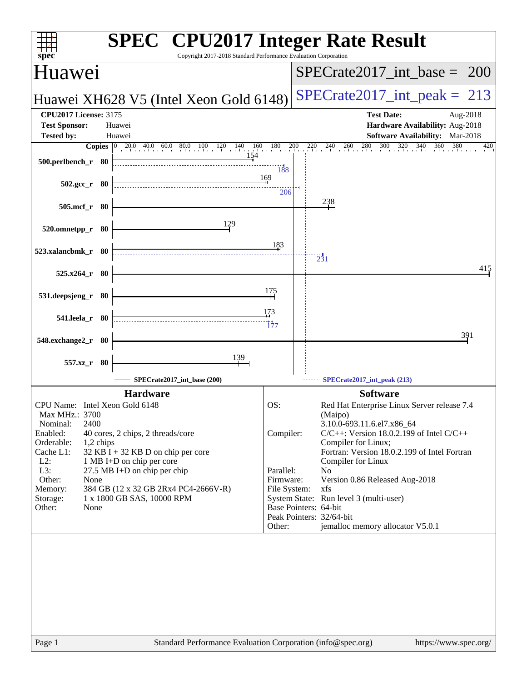| <b>SPEC<sup>®</sup></b> CPU2017 Integer Rate Result<br>Copyright 2017-2018 Standard Performance Evaluation Corporation<br>spec <sup>®</sup>                                                                                                                                                                                                                                                                                                                          |                                                                      |                                                                                                                                                                                                                                                                                                                                                                                                                                                                                    |
|----------------------------------------------------------------------------------------------------------------------------------------------------------------------------------------------------------------------------------------------------------------------------------------------------------------------------------------------------------------------------------------------------------------------------------------------------------------------|----------------------------------------------------------------------|------------------------------------------------------------------------------------------------------------------------------------------------------------------------------------------------------------------------------------------------------------------------------------------------------------------------------------------------------------------------------------------------------------------------------------------------------------------------------------|
| <b>Huawei</b>                                                                                                                                                                                                                                                                                                                                                                                                                                                        |                                                                      | $SPECTate2017\_int\_base = 200$                                                                                                                                                                                                                                                                                                                                                                                                                                                    |
| Huawei XH628 V5 (Intel Xeon Gold 6148)                                                                                                                                                                                                                                                                                                                                                                                                                               |                                                                      | $SPECrate2017\_int\_peak = 213$                                                                                                                                                                                                                                                                                                                                                                                                                                                    |
| <b>CPU2017 License: 3175</b><br><b>Test Sponsor:</b><br>Huawei<br><b>Tested by:</b><br>Huawei                                                                                                                                                                                                                                                                                                                                                                        |                                                                      | <b>Test Date:</b><br>Aug-2018<br>Hardware Availability: Aug-2018<br>Software Availability: Mar-2018                                                                                                                                                                                                                                                                                                                                                                                |
| <b>Copies</b> $\begin{bmatrix} 0 & 20.0 & 40.0 & 60.0 & 80.0 & 100 & 120 & 140 & 160 & 180 \\ 1 & 1 & 1 & 1 & 1 & 140 & 160 & 180 \\ 1 & 1 & 1 & 1 & 1 & 140 & 160 & 180 \\ 1 & 1 & 1 & 1 & 1 & 140 & 180 & 180 \\ 1 & 1 & 1 & 1 & 1 & 140 & 180 & 180 \\ 1 & 1 & 1 & 1 & 1 & 140 & 180 & 180 \\ 1 &$<br>500.perlbench_r 80                                                                                                                                          | 188                                                                  | $220 \t240 \t260 \t280 \t300 \t320$<br>340<br>$\frac{200}{1}$<br>$360$ 380<br>420                                                                                                                                                                                                                                                                                                                                                                                                  |
| $502.\text{gcc}_r$ 80<br>505.mcf_r 80                                                                                                                                                                                                                                                                                                                                                                                                                                | 169<br>206                                                           | 238                                                                                                                                                                                                                                                                                                                                                                                                                                                                                |
| 129<br>520.omnetpp_r 80                                                                                                                                                                                                                                                                                                                                                                                                                                              |                                                                      |                                                                                                                                                                                                                                                                                                                                                                                                                                                                                    |
| 523.xalancbmk_r 80                                                                                                                                                                                                                                                                                                                                                                                                                                                   | 183                                                                  | $\frac{1}{231}$<br>415                                                                                                                                                                                                                                                                                                                                                                                                                                                             |
| 525.x264_r 80<br>531.deepsjeng_r 80                                                                                                                                                                                                                                                                                                                                                                                                                                  | 175                                                                  |                                                                                                                                                                                                                                                                                                                                                                                                                                                                                    |
| 541.leela_r 80                                                                                                                                                                                                                                                                                                                                                                                                                                                       | 173<br>177                                                           | 391                                                                                                                                                                                                                                                                                                                                                                                                                                                                                |
| 548.exchange2_r 80<br><u>139</u><br>557.xz_r 80                                                                                                                                                                                                                                                                                                                                                                                                                      |                                                                      |                                                                                                                                                                                                                                                                                                                                                                                                                                                                                    |
| SPECrate2017_int_base (200)<br><b>Hardware</b><br>CPU Name: Intel Xeon Gold 6148<br>Max MHz.: 3700<br>2400<br>Nominal:<br>Enabled:<br>40 cores, 2 chips, 2 threads/core<br>Orderable:<br>1,2 chips<br>Cache L1:<br>32 KB I + 32 KB D on chip per core<br>$L2$ :<br>1 MB I+D on chip per core<br>L3:<br>27.5 MB I+D on chip per chip<br>Other:<br>None<br>Memory:<br>384 GB (12 x 32 GB 2Rx4 PC4-2666V-R)<br>1 x 1800 GB SAS, 10000 RPM<br>Storage:<br>Other:<br>None | OS:<br>Compiler:<br>Parallel:<br>Firmware:<br>File System:<br>Other: | SPECrate2017_int_peak (213)<br><b>Software</b><br>Red Hat Enterprise Linux Server release 7.4<br>(Maipo)<br>3.10.0-693.11.6.el7.x86_64<br>$C/C++$ : Version 18.0.2.199 of Intel $C/C++$<br>Compiler for Linux;<br>Fortran: Version 18.0.2.199 of Intel Fortran<br>Compiler for Linux<br>N <sub>0</sub><br>Version 0.86 Released Aug-2018<br>xfs<br>System State: Run level 3 (multi-user)<br>Base Pointers: 64-bit<br>Peak Pointers: 32/64-bit<br>jemalloc memory allocator V5.0.1 |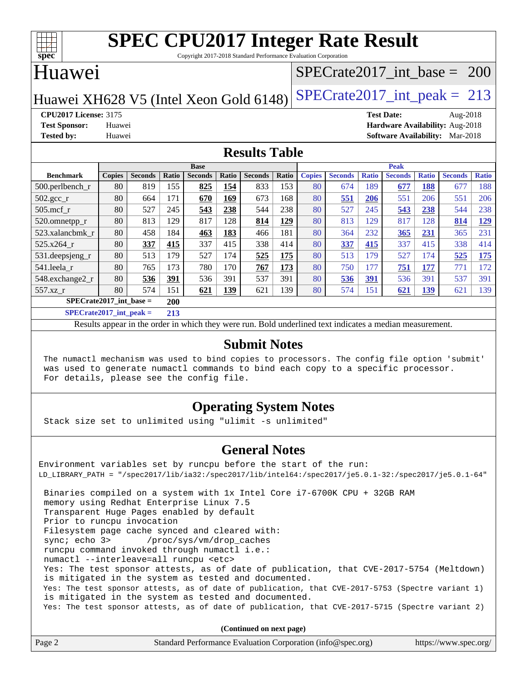

Copyright 2017-2018 Standard Performance Evaluation Corporation

### Huawei

### [SPECrate2017\\_int\\_base =](http://www.spec.org/auto/cpu2017/Docs/result-fields.html#SPECrate2017intbase) 200

### Huawei XH628 V5 (Intel Xeon Gold 6148) SPECrate  $2017$  int peak = 213

**[CPU2017 License:](http://www.spec.org/auto/cpu2017/Docs/result-fields.html#CPU2017License)** 3175 **[Test Date:](http://www.spec.org/auto/cpu2017/Docs/result-fields.html#TestDate)** Aug-2018 **[Test Sponsor:](http://www.spec.org/auto/cpu2017/Docs/result-fields.html#TestSponsor)** Huawei **[Hardware Availability:](http://www.spec.org/auto/cpu2017/Docs/result-fields.html#HardwareAvailability)** Aug-2018 **[Tested by:](http://www.spec.org/auto/cpu2017/Docs/result-fields.html#Testedby)** Huawei **[Software Availability:](http://www.spec.org/auto/cpu2017/Docs/result-fields.html#SoftwareAvailability)** Mar-2018

### **[Results Table](http://www.spec.org/auto/cpu2017/Docs/result-fields.html#ResultsTable)**

|                               | <b>Base</b>   |                |       | <b>Peak</b>    |            |                |       |               |                |              |                |              |                |              |
|-------------------------------|---------------|----------------|-------|----------------|------------|----------------|-------|---------------|----------------|--------------|----------------|--------------|----------------|--------------|
| <b>Benchmark</b>              | <b>Copies</b> | <b>Seconds</b> | Ratio | <b>Seconds</b> | Ratio      | <b>Seconds</b> | Ratio | <b>Copies</b> | <b>Seconds</b> | <b>Ratio</b> | <b>Seconds</b> | <b>Ratio</b> | <b>Seconds</b> | <b>Ratio</b> |
| 500.perlbench_r               | 80            | 819            | 155   | 825            | 154        | 833            | 153   | 80            | 674            | 189          | 677            | 188          | 677            | 188          |
| $502.\text{gcc}$ <sub>r</sub> | 80            | 664            | 171   | 670            | 169        | 673            | 168   | 80            | 551            | 206          | 551            | 206          | 551            | 206          |
| $505$ .mcf r                  | 80            | 527            | 245   | 543            | 238        | 544            | 238   | 80            | 527            | 245          | 543            | 238          | 544            | 238          |
| 520.omnetpp_r                 | 80            | 813            | 129   | 817            | 128        | 814            | 129   | 80            | 813            | 129          | 817            | 128          | 814            | <u>129</u>   |
| 523.xalancbmk r               | 80            | 458            | 184   | 463            | 183        | 466            | 181   | 80            | 364            | 232          | 365            | 231          | 365            | 231          |
| 525.x264 r                    | 80            | 337            | 415   | 337            | 415        | 338            | 414   | 80            | 337            | 415          | 337            | 415          | 338            | 414          |
| 531.deepsjeng_r               | 80            | 513            | 179   | 527            | 174        | 525            | 175   | 80            | 513            | 179          | 527            | 174          | 525            | <u>175</u>   |
| 541.leela r                   | 80            | 765            | 173   | 780            | 170        | 767            | 173   | 80            | 750            | 177          | 751            | 177          | 771            | 172          |
| 548.exchange2_r               | 80            | 536            | 391   | 536            | 391        | 537            | 391   | 80            | 536            | 391          | 536            | 391          | 537            | 391          |
| 557.xz                        | 80            | 574            | 151   | 621            | <u>139</u> | 621            | 139   | 80            | 574            | 151          | 621            | <u>139</u>   | 621            | 139          |
| $SPECrate2017$ int base =     |               |                | 200   |                |            |                |       |               |                |              |                |              |                |              |
| $SPECrate2017$ int peak =     |               |                | 213   |                |            |                |       |               |                |              |                |              |                |              |

Results appear in the [order in which they were run](http://www.spec.org/auto/cpu2017/Docs/result-fields.html#RunOrder). Bold underlined text [indicates a median measurement](http://www.spec.org/auto/cpu2017/Docs/result-fields.html#Median).

### **[Submit Notes](http://www.spec.org/auto/cpu2017/Docs/result-fields.html#SubmitNotes)**

 The numactl mechanism was used to bind copies to processors. The config file option 'submit' was used to generate numactl commands to bind each copy to a specific processor. For details, please see the config file.

### **[Operating System Notes](http://www.spec.org/auto/cpu2017/Docs/result-fields.html#OperatingSystemNotes)**

Stack size set to unlimited using "ulimit -s unlimited"

### **[General Notes](http://www.spec.org/auto/cpu2017/Docs/result-fields.html#GeneralNotes)**

Environment variables set by runcpu before the start of the run: LD\_LIBRARY\_PATH = "/spec2017/lib/ia32:/spec2017/lib/intel64:/spec2017/je5.0.1-32:/spec2017/je5.0.1-64" Binaries compiled on a system with 1x Intel Core i7-6700K CPU + 32GB RAM memory using Redhat Enterprise Linux 7.5 Transparent Huge Pages enabled by default Prior to runcpu invocation Filesystem page cache synced and cleared with: sync; echo 3> /proc/sys/vm/drop\_caches runcpu command invoked through numactl i.e.: numactl --interleave=all runcpu <etc> Yes: The test sponsor attests, as of date of publication, that CVE-2017-5754 (Meltdown) is mitigated in the system as tested and documented. Yes: The test sponsor attests, as of date of publication, that CVE-2017-5753 (Spectre variant 1) is mitigated in the system as tested and documented. Yes: The test sponsor attests, as of date of publication, that CVE-2017-5715 (Spectre variant 2)

**(Continued on next page)**

| Page 2 | Standard Performance Evaluation Corporation (info@spec.org) | https://www.spec.org/ |
|--------|-------------------------------------------------------------|-----------------------|
|--------|-------------------------------------------------------------|-----------------------|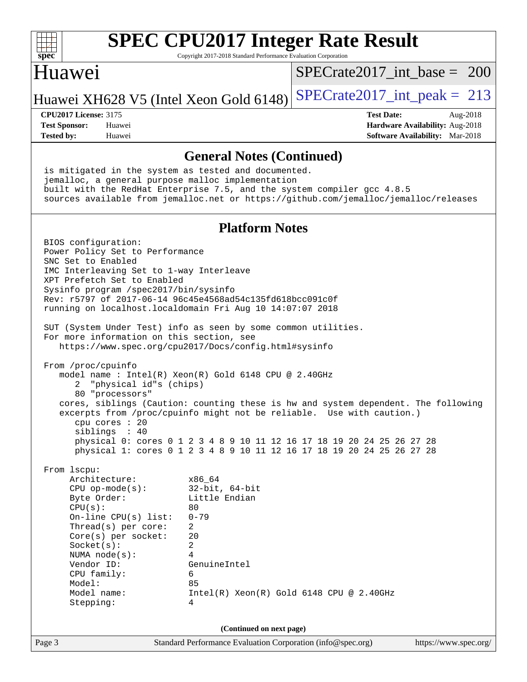

Copyright 2017-2018 Standard Performance Evaluation Corporation

### Huawei

[SPECrate2017\\_int\\_base =](http://www.spec.org/auto/cpu2017/Docs/result-fields.html#SPECrate2017intbase) 200

Huawei XH628 V5 (Intel Xeon Gold 6148) SPECrate  $2017$  int peak = 213

**[Tested by:](http://www.spec.org/auto/cpu2017/Docs/result-fields.html#Testedby)** Huawei **[Software Availability:](http://www.spec.org/auto/cpu2017/Docs/result-fields.html#SoftwareAvailability)** Mar-2018

**[CPU2017 License:](http://www.spec.org/auto/cpu2017/Docs/result-fields.html#CPU2017License)** 3175 **[Test Date:](http://www.spec.org/auto/cpu2017/Docs/result-fields.html#TestDate)** Aug-2018 **[Test Sponsor:](http://www.spec.org/auto/cpu2017/Docs/result-fields.html#TestSponsor)** Huawei **[Hardware Availability:](http://www.spec.org/auto/cpu2017/Docs/result-fields.html#HardwareAvailability)** Aug-2018

### **[General Notes \(Continued\)](http://www.spec.org/auto/cpu2017/Docs/result-fields.html#GeneralNotes)**

Page 3 Standard Performance Evaluation Corporation [\(info@spec.org\)](mailto:info@spec.org) <https://www.spec.org/> is mitigated in the system as tested and documented. jemalloc, a general purpose malloc implementation built with the RedHat Enterprise 7.5, and the system compiler gcc 4.8.5 sources available from jemalloc.net or <https://github.com/jemalloc/jemalloc/releases> **[Platform Notes](http://www.spec.org/auto/cpu2017/Docs/result-fields.html#PlatformNotes)** BIOS configuration: Power Policy Set to Performance SNC Set to Enabled IMC Interleaving Set to 1-way Interleave XPT Prefetch Set to Enabled Sysinfo program /spec2017/bin/sysinfo Rev: r5797 of 2017-06-14 96c45e4568ad54c135fd618bcc091c0f running on localhost.localdomain Fri Aug 10 14:07:07 2018 SUT (System Under Test) info as seen by some common utilities. For more information on this section, see <https://www.spec.org/cpu2017/Docs/config.html#sysinfo> From /proc/cpuinfo model name : Intel(R) Xeon(R) Gold 6148 CPU @ 2.40GHz 2 "physical id"s (chips) 80 "processors" cores, siblings (Caution: counting these is hw and system dependent. The following excerpts from /proc/cpuinfo might not be reliable. Use with caution.) cpu cores : 20 siblings : 40 physical 0: cores 0 1 2 3 4 8 9 10 11 12 16 17 18 19 20 24 25 26 27 28 physical 1: cores 0 1 2 3 4 8 9 10 11 12 16 17 18 19 20 24 25 26 27 28 From lscpu: Architecture: x86\_64 CPU op-mode(s): 32-bit, 64-bit<br>Byte Order: Little Endian Little Endian  $CPU(s):$  80 On-line CPU(s) list: 0-79 Thread(s) per core: 2 Core(s) per socket: 20 Socket(s): 2 NUMA node(s): 4 Vendor ID: GenuineIntel CPU family: 6 Model: 85 Model name: Intel(R) Xeon(R) Gold 6148 CPU @ 2.40GHz Stepping: 4 **(Continued on next page)**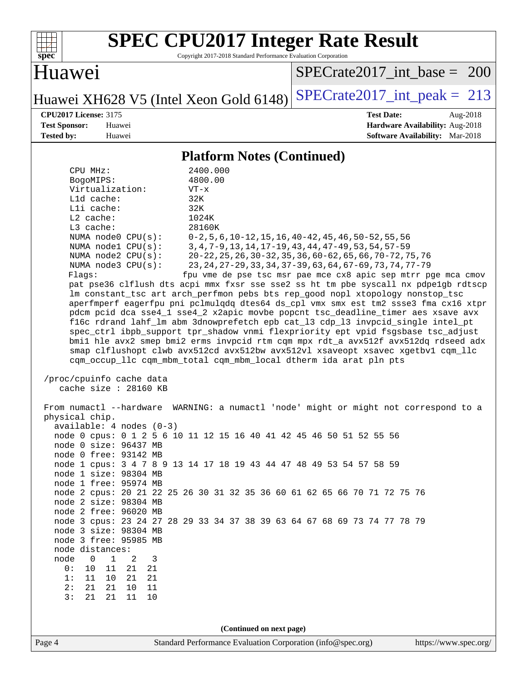| ę,<br>эe<br>č |  |  |  |  |  |
|---------------|--|--|--|--|--|

Copyright 2017-2018 Standard Performance Evaluation Corporation

## Huawei

[SPECrate2017\\_int\\_base =](http://www.spec.org/auto/cpu2017/Docs/result-fields.html#SPECrate2017intbase) 200

Huawei XH628 V5 (Intel Xeon Gold 6148) SPECrate  $2017$ \_int\_peak = 213

**[Tested by:](http://www.spec.org/auto/cpu2017/Docs/result-fields.html#Testedby)** Huawei **[Software Availability:](http://www.spec.org/auto/cpu2017/Docs/result-fields.html#SoftwareAvailability)** Mar-2018

**[CPU2017 License:](http://www.spec.org/auto/cpu2017/Docs/result-fields.html#CPU2017License)** 3175 **[Test Date:](http://www.spec.org/auto/cpu2017/Docs/result-fields.html#TestDate)** Aug-2018 **[Test Sponsor:](http://www.spec.org/auto/cpu2017/Docs/result-fields.html#TestSponsor)** Huawei **[Hardware Availability:](http://www.spec.org/auto/cpu2017/Docs/result-fields.html#HardwareAvailability)** Aug-2018

### **[Platform Notes \(Continued\)](http://www.spec.org/auto/cpu2017/Docs/result-fields.html#PlatformNotes)**

| CPU MHz:<br>BogoMIPS:<br>Virtualization:<br>Lld cache:<br>Lli cache:<br>$L2$ cache:<br>L3 cache:<br>NUMA node0 CPU(s):<br>NUMA nodel CPU(s):<br>NUMA $node2$ $CPU(s):$<br>NUMA node3 CPU(s):<br>Flags:                                                                                                                       | 2400.000<br>4800.00<br>$VT - x$<br>32K<br>32K<br>1024K<br>28160K<br>$0-2, 5, 6, 10-12, 15, 16, 40-42, 45, 46, 50-52, 55, 56$<br>3, 4, 7-9, 13, 14, 17-19, 43, 44, 47-49, 53, 54, 57-59<br>20-22, 25, 26, 30-32, 35, 36, 60-62, 65, 66, 70-72, 75, 76<br>23, 24, 27-29, 33, 34, 37-39, 63, 64, 67-69, 73, 74, 77-79<br>fpu vme de pse tsc msr pae mce cx8 apic sep mtrr pge mca cmov<br>pat pse36 clflush dts acpi mmx fxsr sse sse2 ss ht tm pbe syscall nx pdpelgb rdtscp<br>lm constant_tsc art arch_perfmon pebs bts rep_good nopl xtopology nonstop_tsc<br>aperfmperf eagerfpu pni pclmulqdq dtes64 ds_cpl vmx smx est tm2 ssse3 fma cx16 xtpr<br>pdcm pcid dca sse4_1 sse4_2 x2apic movbe popcnt tsc_deadline_timer aes xsave avx<br>f16c rdrand lahf_lm abm 3dnowprefetch epb cat_13 cdp_13 invpcid_single intel_pt<br>spec_ctrl ibpb_support tpr_shadow vnmi flexpriority ept vpid fsgsbase tsc_adjust<br>bmil hle avx2 smep bmi2 erms invpcid rtm cqm mpx rdt_a avx512f avx512dq rdseed adx<br>smap clflushopt clwb avx512cd avx512bw avx512vl xsaveopt xsavec xgetbvl cqm_llc<br>cqm occup llc cqm mbm total cqm mbm local dtherm ida arat pln pts |                       |
|------------------------------------------------------------------------------------------------------------------------------------------------------------------------------------------------------------------------------------------------------------------------------------------------------------------------------|-------------------------------------------------------------------------------------------------------------------------------------------------------------------------------------------------------------------------------------------------------------------------------------------------------------------------------------------------------------------------------------------------------------------------------------------------------------------------------------------------------------------------------------------------------------------------------------------------------------------------------------------------------------------------------------------------------------------------------------------------------------------------------------------------------------------------------------------------------------------------------------------------------------------------------------------------------------------------------------------------------------------------------------------------------------------------------------------------------------------------------------------------------------|-----------------------|
| /proc/cpuinfo cache data<br>cache size : 28160 KB<br>physical chip.<br>$available: 4 nodes (0-3)$<br>node 0 size: 96437 MB<br>node 0 free: 93142 MB<br>node 1 size: 98304 MB<br>node 1 free: 95974 MB<br>node 2 size: 98304 MB<br>node 2 free: 96020 MB<br>node 3 size: 98304 MB<br>node 3 free: 95985 MB<br>node distances: | From numactl --hardware WARNING: a numactl 'node' might or might not correspond to a<br>node 0 cpus: 0 1 2 5 6 10 11 12 15 16 40 41 42 45 46 50 51 52 55 56<br>node 1 cpus: 3 4 7 8 9 13 14 17 18 19 43 44 47 48 49 53 54 57 58 59<br>node 2 cpus: 20 21 22 25 26 30 31 32 35 36 60 61 62 65 66 70 71 72 75 76<br>node 3 cpus: 23 24 27 28 29 33 34 37 38 39 63 64 67 68 69 73 74 77 78 79                                                                                                                                                                                                                                                                                                                                                                                                                                                                                                                                                                                                                                                                                                                                                                  |                       |
| node<br>0<br>1<br>2<br>3<br>10<br>11<br>21<br>0 :<br>21<br>1:<br>11<br>21<br>21<br>10<br>2:<br>21<br>10<br>11<br>21<br>3:<br>21<br>21<br>11<br>$10$                                                                                                                                                                          |                                                                                                                                                                                                                                                                                                                                                                                                                                                                                                                                                                                                                                                                                                                                                                                                                                                                                                                                                                                                                                                                                                                                                             |                       |
| Page 4                                                                                                                                                                                                                                                                                                                       | (Continued on next page)<br>Standard Performance Evaluation Corporation (info@spec.org)                                                                                                                                                                                                                                                                                                                                                                                                                                                                                                                                                                                                                                                                                                                                                                                                                                                                                                                                                                                                                                                                     | https://www.spec.org/ |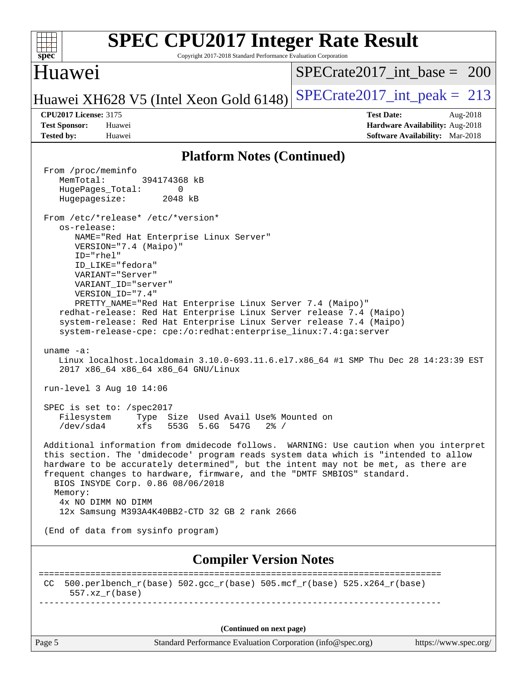| <b>SPEC CPU2017 Integer Rate Result</b><br>Copyright 2017-2018 Standard Performance Evaluation Corporation<br>$spec^*$                                                                                                                                                                                                                                                                                                                                                                                                                                                                                                                                                                                                                                                                                                                                                                                                                                                                                                                                                                                                                                                                                                                                                                                                                                                                                                                                                                                                                                                                         |                                                                                                     |
|------------------------------------------------------------------------------------------------------------------------------------------------------------------------------------------------------------------------------------------------------------------------------------------------------------------------------------------------------------------------------------------------------------------------------------------------------------------------------------------------------------------------------------------------------------------------------------------------------------------------------------------------------------------------------------------------------------------------------------------------------------------------------------------------------------------------------------------------------------------------------------------------------------------------------------------------------------------------------------------------------------------------------------------------------------------------------------------------------------------------------------------------------------------------------------------------------------------------------------------------------------------------------------------------------------------------------------------------------------------------------------------------------------------------------------------------------------------------------------------------------------------------------------------------------------------------------------------------|-----------------------------------------------------------------------------------------------------|
| Huawei                                                                                                                                                                                                                                                                                                                                                                                                                                                                                                                                                                                                                                                                                                                                                                                                                                                                                                                                                                                                                                                                                                                                                                                                                                                                                                                                                                                                                                                                                                                                                                                         | $SPECrate2017$ int base = 200                                                                       |
| Huawei XH628 V5 (Intel Xeon Gold 6148)                                                                                                                                                                                                                                                                                                                                                                                                                                                                                                                                                                                                                                                                                                                                                                                                                                                                                                                                                                                                                                                                                                                                                                                                                                                                                                                                                                                                                                                                                                                                                         | $SPECrate2017\_int\_peak = 213$                                                                     |
| <b>CPU2017 License: 3175</b><br><b>Test Sponsor:</b><br>Huawei<br><b>Tested by:</b><br>Huawei                                                                                                                                                                                                                                                                                                                                                                                                                                                                                                                                                                                                                                                                                                                                                                                                                                                                                                                                                                                                                                                                                                                                                                                                                                                                                                                                                                                                                                                                                                  | <b>Test Date:</b><br>Aug-2018<br>Hardware Availability: Aug-2018<br>Software Availability: Mar-2018 |
| <b>Platform Notes (Continued)</b>                                                                                                                                                                                                                                                                                                                                                                                                                                                                                                                                                                                                                                                                                                                                                                                                                                                                                                                                                                                                                                                                                                                                                                                                                                                                                                                                                                                                                                                                                                                                                              |                                                                                                     |
| From /proc/meminfo<br>MemTotal:<br>394174368 kB<br>HugePages_Total:<br>0<br>Hugepagesize:<br>2048 kB<br>From /etc/*release* /etc/*version*<br>os-release:<br>NAME="Red Hat Enterprise Linux Server"<br>VERSION="7.4 (Maipo)"<br>ID="rhel"<br>ID_LIKE="fedora"<br>VARIANT="Server"<br>VARIANT ID="server"<br>VERSION_ID="7.4"<br>PRETTY_NAME="Red Hat Enterprise Linux Server 7.4 (Maipo)"<br>redhat-release: Red Hat Enterprise Linux Server release 7.4 (Maipo)<br>system-release: Red Hat Enterprise Linux Server release 7.4 (Maipo)<br>system-release-cpe: cpe:/o:redhat:enterprise_linux:7.4:ga:server<br>uname $-a$ :<br>Linux localhost.localdomain 3.10.0-693.11.6.el7.x86_64 #1 SMP Thu Dec 28 14:23:39 EST<br>2017 x86_64 x86_64 x86_64 GNU/Linux<br>run-level 3 Aug 10 14:06<br>SPEC is set to: /spec2017<br>Type Size Used Avail Use% Mounted on<br>Filesystem<br>/dev/sda4<br>xfs<br>553G 5.6G<br>547G<br>$2\frac{8}{1}$ /<br>Additional information from dmidecode follows. WARNING: Use caution when you interpret<br>this section. The 'dmidecode' program reads system data which is "intended to allow<br>hardware to be accurately determined", but the intent may not be met, as there are<br>frequent changes to hardware, firmware, and the "DMTF SMBIOS" standard.<br>BIOS INSYDE Corp. 0.86 08/06/2018<br>Memory:<br>4x NO DIMM NO DIMM<br>12x Samsung M393A4K40BB2-CTD 32 GB 2 rank 2666<br>(End of data from sysinfo program)<br><b>Compiler Version Notes</b><br>500.perlbench_r(base) 502.gcc_r(base) 505.mcf_r(base) 525.x264_r(base)<br>CC.<br>$557. xz_r(base)$ | ------------------------                                                                            |
| (Continued on next page)                                                                                                                                                                                                                                                                                                                                                                                                                                                                                                                                                                                                                                                                                                                                                                                                                                                                                                                                                                                                                                                                                                                                                                                                                                                                                                                                                                                                                                                                                                                                                                       |                                                                                                     |
| Page 5<br>Standard Performance Evaluation Corporation (info@spec.org)                                                                                                                                                                                                                                                                                                                                                                                                                                                                                                                                                                                                                                                                                                                                                                                                                                                                                                                                                                                                                                                                                                                                                                                                                                                                                                                                                                                                                                                                                                                          | https://www.spec.org/                                                                               |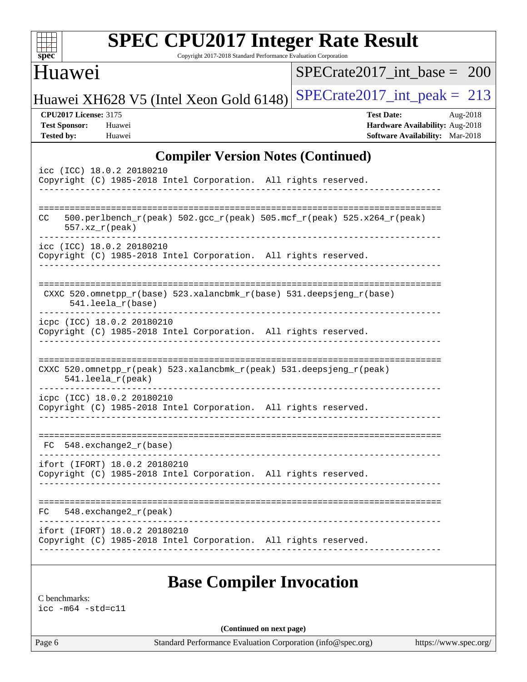| Huawei                                                                                                          | Copyright 2017-2018 Standard Performance Evaluation Corporation<br>$SPECrate2017$ int base = 200    |
|-----------------------------------------------------------------------------------------------------------------|-----------------------------------------------------------------------------------------------------|
| Huawei XH628 V5 (Intel Xeon Gold 6148)                                                                          | $SPECTate2017\_int\_peak = 213$                                                                     |
| <b>CPU2017 License: 3175</b><br><b>Test Sponsor:</b><br>Huawei<br><b>Tested by:</b><br>Huawei                   | <b>Test Date:</b><br>Aug-2018<br>Hardware Availability: Aug-2018<br>Software Availability: Mar-2018 |
| <b>Compiler Version Notes (Continued)</b>                                                                       |                                                                                                     |
| icc (ICC) 18.0.2 20180210<br>Copyright (C) 1985-2018 Intel Corporation. All rights reserved.                    |                                                                                                     |
| $500.perlbench_r(peak)$ $502.gcc_r(peak)$ $505.mef_r(peak)$ $525. x264_r(peak)$<br>CC.<br>$557. xz_r (peak)$    |                                                                                                     |
| icc (ICC) 18.0.2 20180210<br>Copyright (C) 1985-2018 Intel Corporation. All rights reserved.                    |                                                                                                     |
| CXXC 520.omnetpp_r(base) 523.xalancbmk_r(base) 531.deepsjeng_r(base)<br>$541.$ leela_r(base)                    |                                                                                                     |
| icpc (ICC) 18.0.2 20180210<br>Copyright (C) 1985-2018 Intel Corporation. All rights reserved.                   |                                                                                                     |
| CXXC 520.omnetpp_r(peak) 523.xalancbmk_r(peak) 531.deepsjeng_r(peak)<br>541.leela_r(peak)                       |                                                                                                     |
| icpc (ICC) 18.0.2 20180210<br>Copyright (C) 1985-2018 Intel Corporation. All rights reserved.                   |                                                                                                     |
| 548.exchange2_r(base)<br>FC.                                                                                    |                                                                                                     |
| ifort (IFORT) 18.0.2 20180210<br>Copyright (C) 1985-2018 Intel Corporation. All rights reserved.<br>___________ |                                                                                                     |
| $FC$ 548. exchange $2_r$ (peak)                                                                                 |                                                                                                     |
| ifort (IFORT) 18.0.2 20180210                                                                                   | Copyright (C) 1985-2018 Intel Corporation. All rights reserved.                                     |

[icc -m64 -std=c11](http://www.spec.org/cpu2017/results/res2018q4/cpu2017-20181025-09316.flags.html#user_CCbase_intel_icc_64bit_c11_33ee0cdaae7deeeab2a9725423ba97205ce30f63b9926c2519791662299b76a0318f32ddfffdc46587804de3178b4f9328c46fa7c2b0cd779d7a61945c91cd35)

**(Continued on next page)**

Page 6 Standard Performance Evaluation Corporation [\(info@spec.org\)](mailto:info@spec.org) <https://www.spec.org/>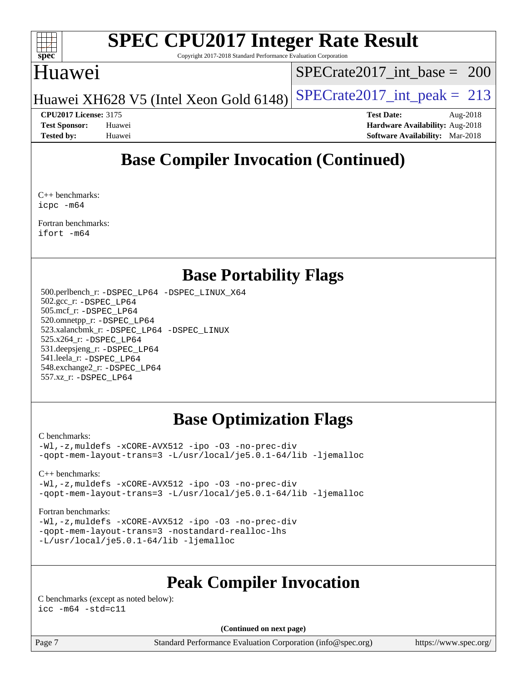

Copyright 2017-2018 Standard Performance Evaluation Corporation

### Huawei

[SPECrate2017\\_int\\_base =](http://www.spec.org/auto/cpu2017/Docs/result-fields.html#SPECrate2017intbase) 200

Huawei XH628 V5 (Intel Xeon Gold 6148) SPECrate  $2017$  int peak = 213

**[CPU2017 License:](http://www.spec.org/auto/cpu2017/Docs/result-fields.html#CPU2017License)** 3175 **[Test Date:](http://www.spec.org/auto/cpu2017/Docs/result-fields.html#TestDate)** Aug-2018 **[Test Sponsor:](http://www.spec.org/auto/cpu2017/Docs/result-fields.html#TestSponsor)** Huawei **[Hardware Availability:](http://www.spec.org/auto/cpu2017/Docs/result-fields.html#HardwareAvailability)** Aug-2018 **[Tested by:](http://www.spec.org/auto/cpu2017/Docs/result-fields.html#Testedby)** Huawei **[Software Availability:](http://www.spec.org/auto/cpu2017/Docs/result-fields.html#SoftwareAvailability)** Mar-2018

## **[Base Compiler Invocation \(Continued\)](http://www.spec.org/auto/cpu2017/Docs/result-fields.html#BaseCompilerInvocation)**

[C++ benchmarks](http://www.spec.org/auto/cpu2017/Docs/result-fields.html#CXXbenchmarks): [icpc -m64](http://www.spec.org/cpu2017/results/res2018q4/cpu2017-20181025-09316.flags.html#user_CXXbase_intel_icpc_64bit_4ecb2543ae3f1412ef961e0650ca070fec7b7afdcd6ed48761b84423119d1bf6bdf5cad15b44d48e7256388bc77273b966e5eb805aefd121eb22e9299b2ec9d9)

[Fortran benchmarks](http://www.spec.org/auto/cpu2017/Docs/result-fields.html#Fortranbenchmarks): [ifort -m64](http://www.spec.org/cpu2017/results/res2018q4/cpu2017-20181025-09316.flags.html#user_FCbase_intel_ifort_64bit_24f2bb282fbaeffd6157abe4f878425411749daecae9a33200eee2bee2fe76f3b89351d69a8130dd5949958ce389cf37ff59a95e7a40d588e8d3a57e0c3fd751)

## **[Base Portability Flags](http://www.spec.org/auto/cpu2017/Docs/result-fields.html#BasePortabilityFlags)**

 500.perlbench\_r: [-DSPEC\\_LP64](http://www.spec.org/cpu2017/results/res2018q4/cpu2017-20181025-09316.flags.html#b500.perlbench_r_basePORTABILITY_DSPEC_LP64) [-DSPEC\\_LINUX\\_X64](http://www.spec.org/cpu2017/results/res2018q4/cpu2017-20181025-09316.flags.html#b500.perlbench_r_baseCPORTABILITY_DSPEC_LINUX_X64) 502.gcc\_r: [-DSPEC\\_LP64](http://www.spec.org/cpu2017/results/res2018q4/cpu2017-20181025-09316.flags.html#suite_basePORTABILITY502_gcc_r_DSPEC_LP64) 505.mcf\_r: [-DSPEC\\_LP64](http://www.spec.org/cpu2017/results/res2018q4/cpu2017-20181025-09316.flags.html#suite_basePORTABILITY505_mcf_r_DSPEC_LP64) 520.omnetpp\_r: [-DSPEC\\_LP64](http://www.spec.org/cpu2017/results/res2018q4/cpu2017-20181025-09316.flags.html#suite_basePORTABILITY520_omnetpp_r_DSPEC_LP64) 523.xalancbmk\_r: [-DSPEC\\_LP64](http://www.spec.org/cpu2017/results/res2018q4/cpu2017-20181025-09316.flags.html#suite_basePORTABILITY523_xalancbmk_r_DSPEC_LP64) [-DSPEC\\_LINUX](http://www.spec.org/cpu2017/results/res2018q4/cpu2017-20181025-09316.flags.html#b523.xalancbmk_r_baseCXXPORTABILITY_DSPEC_LINUX) 525.x264\_r: [-DSPEC\\_LP64](http://www.spec.org/cpu2017/results/res2018q4/cpu2017-20181025-09316.flags.html#suite_basePORTABILITY525_x264_r_DSPEC_LP64) 531.deepsjeng\_r: [-DSPEC\\_LP64](http://www.spec.org/cpu2017/results/res2018q4/cpu2017-20181025-09316.flags.html#suite_basePORTABILITY531_deepsjeng_r_DSPEC_LP64) 541.leela\_r: [-DSPEC\\_LP64](http://www.spec.org/cpu2017/results/res2018q4/cpu2017-20181025-09316.flags.html#suite_basePORTABILITY541_leela_r_DSPEC_LP64) 548.exchange2\_r: [-DSPEC\\_LP64](http://www.spec.org/cpu2017/results/res2018q4/cpu2017-20181025-09316.flags.html#suite_basePORTABILITY548_exchange2_r_DSPEC_LP64) 557.xz\_r: [-DSPEC\\_LP64](http://www.spec.org/cpu2017/results/res2018q4/cpu2017-20181025-09316.flags.html#suite_basePORTABILITY557_xz_r_DSPEC_LP64)

## **[Base Optimization Flags](http://www.spec.org/auto/cpu2017/Docs/result-fields.html#BaseOptimizationFlags)**

### [C benchmarks](http://www.spec.org/auto/cpu2017/Docs/result-fields.html#Cbenchmarks):

[-Wl,-z,muldefs](http://www.spec.org/cpu2017/results/res2018q4/cpu2017-20181025-09316.flags.html#user_CCbase_link_force_multiple1_b4cbdb97b34bdee9ceefcfe54f4c8ea74255f0b02a4b23e853cdb0e18eb4525ac79b5a88067c842dd0ee6996c24547a27a4b99331201badda8798ef8a743f577) [-xCORE-AVX512](http://www.spec.org/cpu2017/results/res2018q4/cpu2017-20181025-09316.flags.html#user_CCbase_f-xCORE-AVX512) [-ipo](http://www.spec.org/cpu2017/results/res2018q4/cpu2017-20181025-09316.flags.html#user_CCbase_f-ipo) [-O3](http://www.spec.org/cpu2017/results/res2018q4/cpu2017-20181025-09316.flags.html#user_CCbase_f-O3) [-no-prec-div](http://www.spec.org/cpu2017/results/res2018q4/cpu2017-20181025-09316.flags.html#user_CCbase_f-no-prec-div) [-qopt-mem-layout-trans=3](http://www.spec.org/cpu2017/results/res2018q4/cpu2017-20181025-09316.flags.html#user_CCbase_f-qopt-mem-layout-trans_de80db37974c74b1f0e20d883f0b675c88c3b01e9d123adea9b28688d64333345fb62bc4a798493513fdb68f60282f9a726aa07f478b2f7113531aecce732043) [-L/usr/local/je5.0.1-64/lib](http://www.spec.org/cpu2017/results/res2018q4/cpu2017-20181025-09316.flags.html#user_CCbase_jemalloc_link_path64_4b10a636b7bce113509b17f3bd0d6226c5fb2346b9178c2d0232c14f04ab830f976640479e5c33dc2bcbbdad86ecfb6634cbbd4418746f06f368b512fced5394) [-ljemalloc](http://www.spec.org/cpu2017/results/res2018q4/cpu2017-20181025-09316.flags.html#user_CCbase_jemalloc_link_lib_d1249b907c500fa1c0672f44f562e3d0f79738ae9e3c4a9c376d49f265a04b9c99b167ecedbf6711b3085be911c67ff61f150a17b3472be731631ba4d0471706)

### [C++ benchmarks:](http://www.spec.org/auto/cpu2017/Docs/result-fields.html#CXXbenchmarks)

[-Wl,-z,muldefs](http://www.spec.org/cpu2017/results/res2018q4/cpu2017-20181025-09316.flags.html#user_CXXbase_link_force_multiple1_b4cbdb97b34bdee9ceefcfe54f4c8ea74255f0b02a4b23e853cdb0e18eb4525ac79b5a88067c842dd0ee6996c24547a27a4b99331201badda8798ef8a743f577) [-xCORE-AVX512](http://www.spec.org/cpu2017/results/res2018q4/cpu2017-20181025-09316.flags.html#user_CXXbase_f-xCORE-AVX512) [-ipo](http://www.spec.org/cpu2017/results/res2018q4/cpu2017-20181025-09316.flags.html#user_CXXbase_f-ipo) [-O3](http://www.spec.org/cpu2017/results/res2018q4/cpu2017-20181025-09316.flags.html#user_CXXbase_f-O3) [-no-prec-div](http://www.spec.org/cpu2017/results/res2018q4/cpu2017-20181025-09316.flags.html#user_CXXbase_f-no-prec-div) [-qopt-mem-layout-trans=3](http://www.spec.org/cpu2017/results/res2018q4/cpu2017-20181025-09316.flags.html#user_CXXbase_f-qopt-mem-layout-trans_de80db37974c74b1f0e20d883f0b675c88c3b01e9d123adea9b28688d64333345fb62bc4a798493513fdb68f60282f9a726aa07f478b2f7113531aecce732043) [-L/usr/local/je5.0.1-64/lib](http://www.spec.org/cpu2017/results/res2018q4/cpu2017-20181025-09316.flags.html#user_CXXbase_jemalloc_link_path64_4b10a636b7bce113509b17f3bd0d6226c5fb2346b9178c2d0232c14f04ab830f976640479e5c33dc2bcbbdad86ecfb6634cbbd4418746f06f368b512fced5394) [-ljemalloc](http://www.spec.org/cpu2017/results/res2018q4/cpu2017-20181025-09316.flags.html#user_CXXbase_jemalloc_link_lib_d1249b907c500fa1c0672f44f562e3d0f79738ae9e3c4a9c376d49f265a04b9c99b167ecedbf6711b3085be911c67ff61f150a17b3472be731631ba4d0471706)

### [Fortran benchmarks](http://www.spec.org/auto/cpu2017/Docs/result-fields.html#Fortranbenchmarks):

[-Wl,-z,muldefs](http://www.spec.org/cpu2017/results/res2018q4/cpu2017-20181025-09316.flags.html#user_FCbase_link_force_multiple1_b4cbdb97b34bdee9ceefcfe54f4c8ea74255f0b02a4b23e853cdb0e18eb4525ac79b5a88067c842dd0ee6996c24547a27a4b99331201badda8798ef8a743f577) [-xCORE-AVX512](http://www.spec.org/cpu2017/results/res2018q4/cpu2017-20181025-09316.flags.html#user_FCbase_f-xCORE-AVX512) [-ipo](http://www.spec.org/cpu2017/results/res2018q4/cpu2017-20181025-09316.flags.html#user_FCbase_f-ipo) [-O3](http://www.spec.org/cpu2017/results/res2018q4/cpu2017-20181025-09316.flags.html#user_FCbase_f-O3) [-no-prec-div](http://www.spec.org/cpu2017/results/res2018q4/cpu2017-20181025-09316.flags.html#user_FCbase_f-no-prec-div) [-qopt-mem-layout-trans=3](http://www.spec.org/cpu2017/results/res2018q4/cpu2017-20181025-09316.flags.html#user_FCbase_f-qopt-mem-layout-trans_de80db37974c74b1f0e20d883f0b675c88c3b01e9d123adea9b28688d64333345fb62bc4a798493513fdb68f60282f9a726aa07f478b2f7113531aecce732043) [-nostandard-realloc-lhs](http://www.spec.org/cpu2017/results/res2018q4/cpu2017-20181025-09316.flags.html#user_FCbase_f_2003_std_realloc_82b4557e90729c0f113870c07e44d33d6f5a304b4f63d4c15d2d0f1fab99f5daaed73bdb9275d9ae411527f28b936061aa8b9c8f2d63842963b95c9dd6426b8a) [-L/usr/local/je5.0.1-64/lib](http://www.spec.org/cpu2017/results/res2018q4/cpu2017-20181025-09316.flags.html#user_FCbase_jemalloc_link_path64_4b10a636b7bce113509b17f3bd0d6226c5fb2346b9178c2d0232c14f04ab830f976640479e5c33dc2bcbbdad86ecfb6634cbbd4418746f06f368b512fced5394) [-ljemalloc](http://www.spec.org/cpu2017/results/res2018q4/cpu2017-20181025-09316.flags.html#user_FCbase_jemalloc_link_lib_d1249b907c500fa1c0672f44f562e3d0f79738ae9e3c4a9c376d49f265a04b9c99b167ecedbf6711b3085be911c67ff61f150a17b3472be731631ba4d0471706)

## **[Peak Compiler Invocation](http://www.spec.org/auto/cpu2017/Docs/result-fields.html#PeakCompilerInvocation)**

[C benchmarks \(except as noted below\)](http://www.spec.org/auto/cpu2017/Docs/result-fields.html#Cbenchmarksexceptasnotedbelow):  $\text{icc}$   $-\text{m64}$   $-\text{std}=c11$ 

**(Continued on next page)**

Page 7 Standard Performance Evaluation Corporation [\(info@spec.org\)](mailto:info@spec.org) <https://www.spec.org/>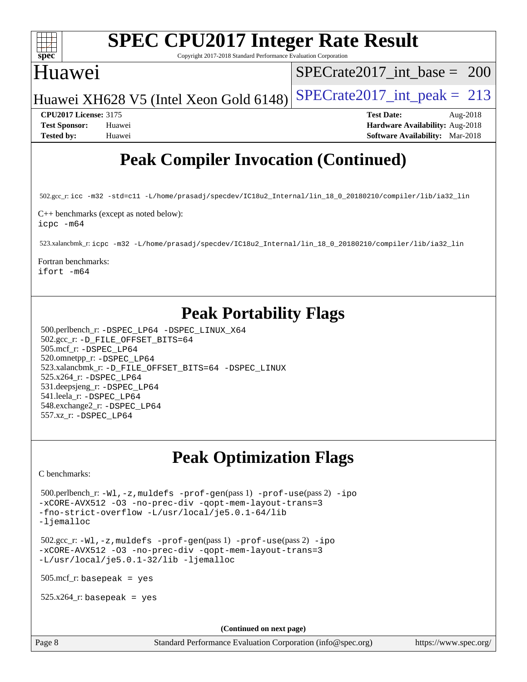

Copyright 2017-2018 Standard Performance Evaluation Corporation

## Huawei

[SPECrate2017\\_int\\_base =](http://www.spec.org/auto/cpu2017/Docs/result-fields.html#SPECrate2017intbase) 200

Huawei XH628 V5 (Intel Xeon Gold 6148) SPECrate  $2017$  int peak = 213

**[CPU2017 License:](http://www.spec.org/auto/cpu2017/Docs/result-fields.html#CPU2017License)** 3175 **[Test Date:](http://www.spec.org/auto/cpu2017/Docs/result-fields.html#TestDate)** Aug-2018 **[Test Sponsor:](http://www.spec.org/auto/cpu2017/Docs/result-fields.html#TestSponsor)** Huawei **[Hardware Availability:](http://www.spec.org/auto/cpu2017/Docs/result-fields.html#HardwareAvailability)** Aug-2018 **[Tested by:](http://www.spec.org/auto/cpu2017/Docs/result-fields.html#Testedby)** Huawei **[Software Availability:](http://www.spec.org/auto/cpu2017/Docs/result-fields.html#SoftwareAvailability)** Mar-2018

## **[Peak Compiler Invocation \(Continued\)](http://www.spec.org/auto/cpu2017/Docs/result-fields.html#PeakCompilerInvocation)**

502.gcc\_r: [icc -m32 -std=c11 -L/home/prasadj/specdev/IC18u2\\_Internal/lin\\_18\\_0\\_20180210/compiler/lib/ia32\\_lin](http://www.spec.org/cpu2017/results/res2018q4/cpu2017-20181025-09316.flags.html#user_peakCCLD502_gcc_r_intel_icc_a481ac844e7127046fad14d498c730a1848fa901fbbb2c3dfdd5e9fbbac777c8009953946d55d8b6afe8ed0da70dd2b4f8dedbdf7ab1ee211ba70d24a5d89f85)

[C++ benchmarks \(except as noted below\)](http://www.spec.org/auto/cpu2017/Docs/result-fields.html#CXXbenchmarksexceptasnotedbelow): [icpc -m64](http://www.spec.org/cpu2017/results/res2018q4/cpu2017-20181025-09316.flags.html#user_CXXpeak_intel_icpc_64bit_4ecb2543ae3f1412ef961e0650ca070fec7b7afdcd6ed48761b84423119d1bf6bdf5cad15b44d48e7256388bc77273b966e5eb805aefd121eb22e9299b2ec9d9)

523.xalancbmk\_r: [icpc -m32 -L/home/prasadj/specdev/IC18u2\\_Internal/lin\\_18\\_0\\_20180210/compiler/lib/ia32\\_lin](http://www.spec.org/cpu2017/results/res2018q4/cpu2017-20181025-09316.flags.html#user_peakCXXLD523_xalancbmk_r_intel_icpc_c6d030cd79af6ea7d6fb64c57e8fe7ae8fe0b96fc5a3b3f4a10e3273b3d7fa9decd8263f6330cef23f751cb093a69fae84a2bf4c243500a8eed069248128076f)

[Fortran benchmarks](http://www.spec.org/auto/cpu2017/Docs/result-fields.html#Fortranbenchmarks):

[ifort -m64](http://www.spec.org/cpu2017/results/res2018q4/cpu2017-20181025-09316.flags.html#user_FCpeak_intel_ifort_64bit_24f2bb282fbaeffd6157abe4f878425411749daecae9a33200eee2bee2fe76f3b89351d69a8130dd5949958ce389cf37ff59a95e7a40d588e8d3a57e0c3fd751)

## **[Peak Portability Flags](http://www.spec.org/auto/cpu2017/Docs/result-fields.html#PeakPortabilityFlags)**

 500.perlbench\_r: [-DSPEC\\_LP64](http://www.spec.org/cpu2017/results/res2018q4/cpu2017-20181025-09316.flags.html#b500.perlbench_r_peakPORTABILITY_DSPEC_LP64) [-DSPEC\\_LINUX\\_X64](http://www.spec.org/cpu2017/results/res2018q4/cpu2017-20181025-09316.flags.html#b500.perlbench_r_peakCPORTABILITY_DSPEC_LINUX_X64) 502.gcc\_r: [-D\\_FILE\\_OFFSET\\_BITS=64](http://www.spec.org/cpu2017/results/res2018q4/cpu2017-20181025-09316.flags.html#user_peakPORTABILITY502_gcc_r_file_offset_bits_64_5ae949a99b284ddf4e95728d47cb0843d81b2eb0e18bdfe74bbf0f61d0b064f4bda2f10ea5eb90e1dcab0e84dbc592acfc5018bc955c18609f94ddb8d550002c) 505.mcf\_r: [-DSPEC\\_LP64](http://www.spec.org/cpu2017/results/res2018q4/cpu2017-20181025-09316.flags.html#suite_peakPORTABILITY505_mcf_r_DSPEC_LP64) 520.omnetpp\_r: [-DSPEC\\_LP64](http://www.spec.org/cpu2017/results/res2018q4/cpu2017-20181025-09316.flags.html#suite_peakPORTABILITY520_omnetpp_r_DSPEC_LP64) 523.xalancbmk\_r: [-D\\_FILE\\_OFFSET\\_BITS=64](http://www.spec.org/cpu2017/results/res2018q4/cpu2017-20181025-09316.flags.html#user_peakPORTABILITY523_xalancbmk_r_file_offset_bits_64_5ae949a99b284ddf4e95728d47cb0843d81b2eb0e18bdfe74bbf0f61d0b064f4bda2f10ea5eb90e1dcab0e84dbc592acfc5018bc955c18609f94ddb8d550002c) [-DSPEC\\_LINUX](http://www.spec.org/cpu2017/results/res2018q4/cpu2017-20181025-09316.flags.html#b523.xalancbmk_r_peakCXXPORTABILITY_DSPEC_LINUX) 525.x264\_r: [-DSPEC\\_LP64](http://www.spec.org/cpu2017/results/res2018q4/cpu2017-20181025-09316.flags.html#suite_peakPORTABILITY525_x264_r_DSPEC_LP64) 531.deepsjeng\_r: [-DSPEC\\_LP64](http://www.spec.org/cpu2017/results/res2018q4/cpu2017-20181025-09316.flags.html#suite_peakPORTABILITY531_deepsjeng_r_DSPEC_LP64) 541.leela\_r: [-DSPEC\\_LP64](http://www.spec.org/cpu2017/results/res2018q4/cpu2017-20181025-09316.flags.html#suite_peakPORTABILITY541_leela_r_DSPEC_LP64) 548.exchange2\_r: [-DSPEC\\_LP64](http://www.spec.org/cpu2017/results/res2018q4/cpu2017-20181025-09316.flags.html#suite_peakPORTABILITY548_exchange2_r_DSPEC_LP64) 557.xz\_r: [-DSPEC\\_LP64](http://www.spec.org/cpu2017/results/res2018q4/cpu2017-20181025-09316.flags.html#suite_peakPORTABILITY557_xz_r_DSPEC_LP64)

## **[Peak Optimization Flags](http://www.spec.org/auto/cpu2017/Docs/result-fields.html#PeakOptimizationFlags)**

[C benchmarks](http://www.spec.org/auto/cpu2017/Docs/result-fields.html#Cbenchmarks):

 500.perlbench\_r: [-Wl,-z,muldefs](http://www.spec.org/cpu2017/results/res2018q4/cpu2017-20181025-09316.flags.html#user_peakEXTRA_LDFLAGS500_perlbench_r_link_force_multiple1_b4cbdb97b34bdee9ceefcfe54f4c8ea74255f0b02a4b23e853cdb0e18eb4525ac79b5a88067c842dd0ee6996c24547a27a4b99331201badda8798ef8a743f577) [-prof-gen](http://www.spec.org/cpu2017/results/res2018q4/cpu2017-20181025-09316.flags.html#user_peakPASS1_CFLAGSPASS1_LDFLAGS500_perlbench_r_prof_gen_5aa4926d6013ddb2a31985c654b3eb18169fc0c6952a63635c234f711e6e63dd76e94ad52365559451ec499a2cdb89e4dc58ba4c67ef54ca681ffbe1461d6b36)(pass 1) [-prof-use](http://www.spec.org/cpu2017/results/res2018q4/cpu2017-20181025-09316.flags.html#user_peakPASS2_CFLAGSPASS2_LDFLAGS500_perlbench_r_prof_use_1a21ceae95f36a2b53c25747139a6c16ca95bd9def2a207b4f0849963b97e94f5260e30a0c64f4bb623698870e679ca08317ef8150905d41bd88c6f78df73f19)(pass 2) [-ipo](http://www.spec.org/cpu2017/results/res2018q4/cpu2017-20181025-09316.flags.html#user_peakPASS1_COPTIMIZEPASS2_COPTIMIZE500_perlbench_r_f-ipo) [-xCORE-AVX512](http://www.spec.org/cpu2017/results/res2018q4/cpu2017-20181025-09316.flags.html#user_peakPASS2_COPTIMIZE500_perlbench_r_f-xCORE-AVX512) [-O3](http://www.spec.org/cpu2017/results/res2018q4/cpu2017-20181025-09316.flags.html#user_peakPASS1_COPTIMIZEPASS2_COPTIMIZE500_perlbench_r_f-O3) [-no-prec-div](http://www.spec.org/cpu2017/results/res2018q4/cpu2017-20181025-09316.flags.html#user_peakPASS1_COPTIMIZEPASS2_COPTIMIZE500_perlbench_r_f-no-prec-div) [-qopt-mem-layout-trans=3](http://www.spec.org/cpu2017/results/res2018q4/cpu2017-20181025-09316.flags.html#user_peakPASS1_COPTIMIZEPASS2_COPTIMIZE500_perlbench_r_f-qopt-mem-layout-trans_de80db37974c74b1f0e20d883f0b675c88c3b01e9d123adea9b28688d64333345fb62bc4a798493513fdb68f60282f9a726aa07f478b2f7113531aecce732043) [-fno-strict-overflow](http://www.spec.org/cpu2017/results/res2018q4/cpu2017-20181025-09316.flags.html#user_peakEXTRA_OPTIMIZE500_perlbench_r_f-fno-strict-overflow) [-L/usr/local/je5.0.1-64/lib](http://www.spec.org/cpu2017/results/res2018q4/cpu2017-20181025-09316.flags.html#user_peakEXTRA_LIBS500_perlbench_r_jemalloc_link_path64_4b10a636b7bce113509b17f3bd0d6226c5fb2346b9178c2d0232c14f04ab830f976640479e5c33dc2bcbbdad86ecfb6634cbbd4418746f06f368b512fced5394) [-ljemalloc](http://www.spec.org/cpu2017/results/res2018q4/cpu2017-20181025-09316.flags.html#user_peakEXTRA_LIBS500_perlbench_r_jemalloc_link_lib_d1249b907c500fa1c0672f44f562e3d0f79738ae9e3c4a9c376d49f265a04b9c99b167ecedbf6711b3085be911c67ff61f150a17b3472be731631ba4d0471706)

 502.gcc\_r: [-Wl,-z,muldefs](http://www.spec.org/cpu2017/results/res2018q4/cpu2017-20181025-09316.flags.html#user_peakEXTRA_LDFLAGS502_gcc_r_link_force_multiple1_b4cbdb97b34bdee9ceefcfe54f4c8ea74255f0b02a4b23e853cdb0e18eb4525ac79b5a88067c842dd0ee6996c24547a27a4b99331201badda8798ef8a743f577) [-prof-gen](http://www.spec.org/cpu2017/results/res2018q4/cpu2017-20181025-09316.flags.html#user_peakPASS1_CFLAGSPASS1_LDFLAGS502_gcc_r_prof_gen_5aa4926d6013ddb2a31985c654b3eb18169fc0c6952a63635c234f711e6e63dd76e94ad52365559451ec499a2cdb89e4dc58ba4c67ef54ca681ffbe1461d6b36)(pass 1) [-prof-use](http://www.spec.org/cpu2017/results/res2018q4/cpu2017-20181025-09316.flags.html#user_peakPASS2_CFLAGSPASS2_LDFLAGS502_gcc_r_prof_use_1a21ceae95f36a2b53c25747139a6c16ca95bd9def2a207b4f0849963b97e94f5260e30a0c64f4bb623698870e679ca08317ef8150905d41bd88c6f78df73f19)(pass 2) [-ipo](http://www.spec.org/cpu2017/results/res2018q4/cpu2017-20181025-09316.flags.html#user_peakPASS1_COPTIMIZEPASS2_COPTIMIZE502_gcc_r_f-ipo) [-xCORE-AVX512](http://www.spec.org/cpu2017/results/res2018q4/cpu2017-20181025-09316.flags.html#user_peakPASS2_COPTIMIZE502_gcc_r_f-xCORE-AVX512) [-O3](http://www.spec.org/cpu2017/results/res2018q4/cpu2017-20181025-09316.flags.html#user_peakPASS1_COPTIMIZEPASS2_COPTIMIZE502_gcc_r_f-O3) [-no-prec-div](http://www.spec.org/cpu2017/results/res2018q4/cpu2017-20181025-09316.flags.html#user_peakPASS1_COPTIMIZEPASS2_COPTIMIZE502_gcc_r_f-no-prec-div) [-qopt-mem-layout-trans=3](http://www.spec.org/cpu2017/results/res2018q4/cpu2017-20181025-09316.flags.html#user_peakPASS1_COPTIMIZEPASS2_COPTIMIZE502_gcc_r_f-qopt-mem-layout-trans_de80db37974c74b1f0e20d883f0b675c88c3b01e9d123adea9b28688d64333345fb62bc4a798493513fdb68f60282f9a726aa07f478b2f7113531aecce732043) [-L/usr/local/je5.0.1-32/lib](http://www.spec.org/cpu2017/results/res2018q4/cpu2017-20181025-09316.flags.html#user_peakEXTRA_LIBS502_gcc_r_jemalloc_link_path32_e29f22e8e6c17053bbc6a0971f5a9c01a601a06bb1a59df2084b77a2fe0a2995b64fd4256feaeea39eeba3aae142e96e2b2b0a28974019c0c0c88139a84f900a) [-ljemalloc](http://www.spec.org/cpu2017/results/res2018q4/cpu2017-20181025-09316.flags.html#user_peakEXTRA_LIBS502_gcc_r_jemalloc_link_lib_d1249b907c500fa1c0672f44f562e3d0f79738ae9e3c4a9c376d49f265a04b9c99b167ecedbf6711b3085be911c67ff61f150a17b3472be731631ba4d0471706)

505.mcf\_r: basepeak = yes

 $525.x264$ \_r: basepeak = yes

**(Continued on next page)**

Page 8 Standard Performance Evaluation Corporation [\(info@spec.org\)](mailto:info@spec.org) <https://www.spec.org/>